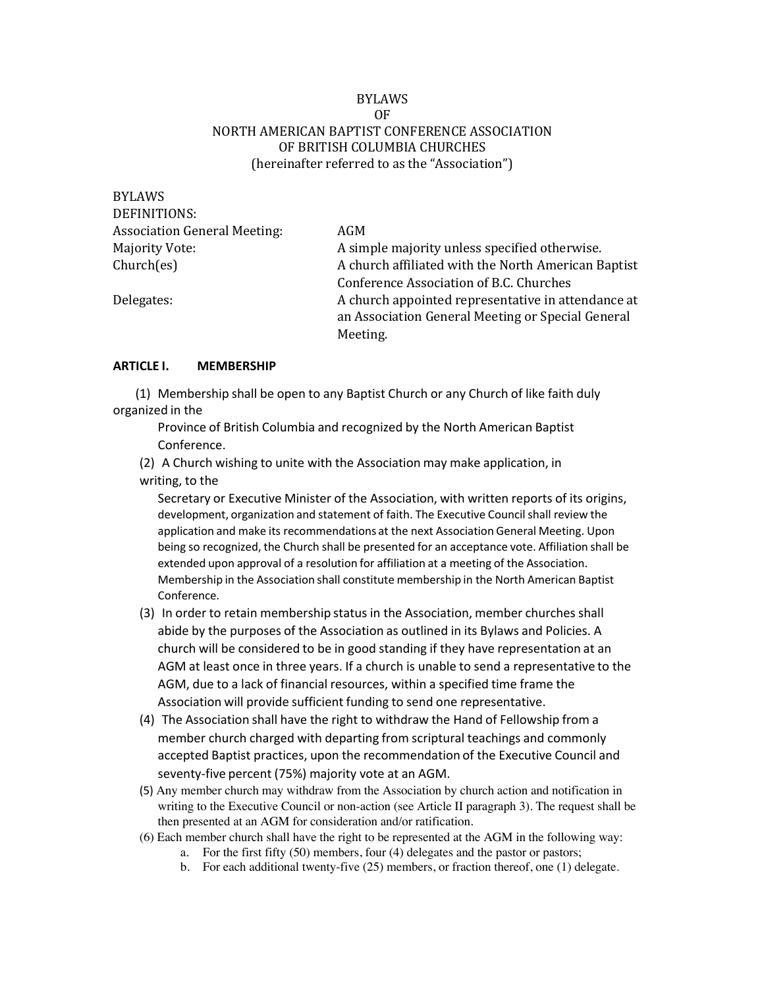#### BYLAWS OF NORTH AMERICAN BAPTIST CONFERENCE ASSOCIATION OF BRITISH COLUMBIA CHURCHES (hereinafter referred to as the "Association")

| BYLAWS                              |                                                     |
|-------------------------------------|-----------------------------------------------------|
| DEFINITIONS:                        |                                                     |
| <b>Association General Meeting:</b> | AGM                                                 |
| <b>Majority Vote:</b>               | A simple majority unless specified otherwise.       |
| Church(es)                          | A church affiliated with the North American Baptist |
|                                     | Conference Association of B.C. Churches             |
| Delegates:                          | A church appointed representative in attendance at  |
|                                     | an Association General Meeting or Special General   |
|                                     | Meeting.                                            |

#### **ARTICLE I. MEMBERSHIP**

BYL ATALO

(1) Membership shall be open to any Baptist Church or any Church of like faith duly organized in the

Province of British Columbia and recognized by the North American Baptist Conference.

(2) A Church wishing to unite with the Association may make application, in writing, to the

Secretary or Executive Minister of the Association, with written reports of its origins, development, organization and statement of faith. The Executive Council shall review the application and make its recommendations at the next Association General Meeting. Upon being so recognized, the Church shall be presented for an acceptance vote. Affiliation shall be extended upon approval of a resolution for affiliation at a meeting of the Association. Membership in the Association shall constitute membership in the North American Baptist Conference.

- (3) In order to retain membership status in the Association, member churches shall abide by the purposes of the Association as outlined in its Bylaws and Policies. A church will be considered to be in good standing if they have representation at an AGM at least once in three years. If a church is unable to send a representative to the AGM, due to a lack of financial resources, within a specified time frame the Association will provide sufficient funding to send one representative.
- (4) The Association shall have the right to withdraw the Hand of Fellowship from a member church charged with departing from scriptural teachings and commonly accepted Baptist practices, upon the recommendation of the Executive Council and seventy-five percent (75%) majority vote at an AGM.
- (5) Any member church may withdraw from the Association by church action and notification in writing to the Executive Council or non-action (see Article II paragraph 3). The request shall be then presented at an AGM for consideration and/or ratification.
- (6) Each member church shall have the right to be represented at the AGM in the following way:
	- a. For the first fifty (50) members, four (4) delegates and the pastor or pastors;
	- b. For each additional twenty-five (25) members, or fraction thereof, one (1) delegate.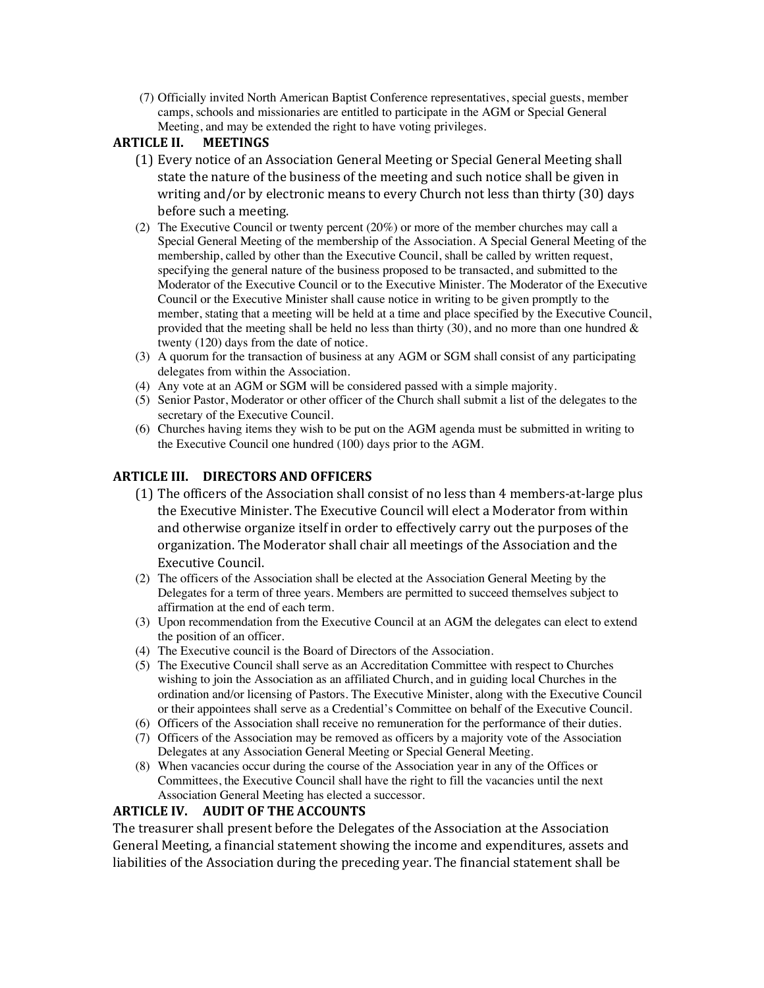(7) Officially invited North American Baptist Conference representatives, special guests, member camps, schools and missionaries are entitled to participate in the AGM or Special General Meeting, and may be extended the right to have voting privileges.

#### **ARTICLE II. MEETINGS**

- (1) Every notice of an Association General Meeting or Special General Meeting shall state the nature of the business of the meeting and such notice shall be given in writing and/or by electronic means to every Church not less than thirty  $(30)$  days before such a meeting.
- (2) The Executive Council or twenty percent (20%) or more of the member churches may call a Special General Meeting of the membership of the Association. A Special General Meeting of the membership, called by other than the Executive Council, shall be called by written request, specifying the general nature of the business proposed to be transacted, and submitted to the Moderator of the Executive Council or to the Executive Minister. The Moderator of the Executive Council or the Executive Minister shall cause notice in writing to be given promptly to the member, stating that a meeting will be held at a time and place specified by the Executive Council, provided that the meeting shall be held no less than thirty (30), and no more than one hundred  $\&$ twenty (120) days from the date of notice.
- (3) A quorum for the transaction of business at any AGM or SGM shall consist of any participating delegates from within the Association.
- (4) Any vote at an AGM or SGM will be considered passed with a simple majority.
- (5) Senior Pastor, Moderator or other officer of the Church shall submit a list of the delegates to the secretary of the Executive Council.
- (6) Churches having items they wish to be put on the AGM agenda must be submitted in writing to the Executive Council one hundred (100) days prior to the AGM.

#### **ARTICLE III. DIRECTORS AND OFFICERS**

- (1) The officers of the Association shall consist of no less than 4 members-at-large plus the Executive Minister. The Executive Council will elect a Moderator from within and otherwise organize itself in order to effectively carry out the purposes of the organization. The Moderator shall chair all meetings of the Association and the Executive Council.
- (2) The officers of the Association shall be elected at the Association General Meeting by the Delegates for a term of three years. Members are permitted to succeed themselves subject to affirmation at the end of each term.
- (3) Upon recommendation from the Executive Council at an AGM the delegates can elect to extend the position of an officer.
- (4) The Executive council is the Board of Directors of the Association.
- (5) The Executive Council shall serve as an Accreditation Committee with respect to Churches wishing to join the Association as an affiliated Church, and in guiding local Churches in the ordination and/or licensing of Pastors. The Executive Minister, along with the Executive Council or their appointees shall serve as a Credential's Committee on behalf of the Executive Council.
- (6) Officers of the Association shall receive no remuneration for the performance of their duties.
- (7) Officers of the Association may be removed as officers by a majority vote of the Association Delegates at any Association General Meeting or Special General Meeting.
- (8) When vacancies occur during the course of the Association year in any of the Offices or Committees, the Executive Council shall have the right to fill the vacancies until the next Association General Meeting has elected a successor.

#### **ARTICLE IV. AUDIT OF THE ACCOUNTS**

The treasurer shall present before the Delegates of the Association at the Association General Meeting, a financial statement showing the income and expenditures, assets and liabilities of the Association during the preceding year. The financial statement shall be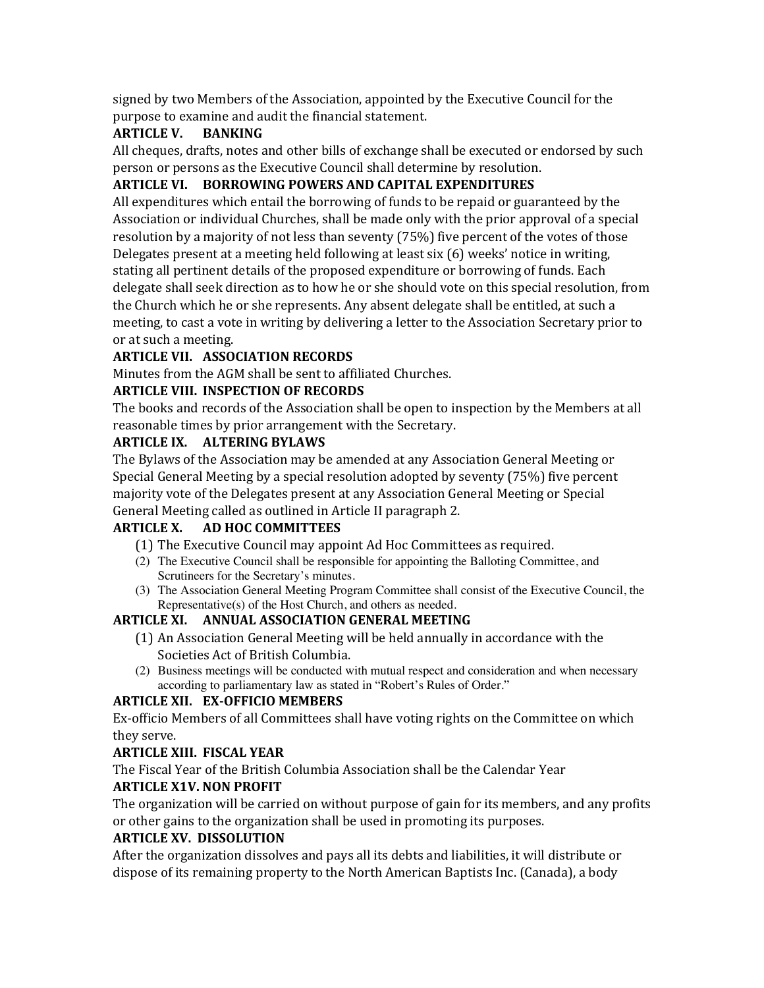signed by two Members of the Association, appointed by the Executive Council for the purpose to examine and audit the financial statement.

### **ARTICLE V. BANKING**

All cheques, drafts, notes and other bills of exchange shall be executed or endorsed by such person or persons as the Executive Council shall determine by resolution.

# **ARTICLE VI. BORROWING POWERS AND CAPITAL EXPENDITURES**

All expenditures which entail the borrowing of funds to be repaid or guaranteed by the Association or individual Churches, shall be made only with the prior approval of a special resolution by a majority of not less than seventy  $(75%)$  five percent of the votes of those Delegates present at a meeting held following at least  $\sin(6)$  weeks' notice in writing, stating all pertinent details of the proposed expenditure or borrowing of funds. Each delegate shall seek direction as to how he or she should vote on this special resolution, from the Church which he or she represents. Any absent delegate shall be entitled, at such a meeting, to cast a vote in writing by delivering a letter to the Association Secretary prior to or at such a meeting.

### **ARTICLE VII. ASSOCIATION RECORDS**

Minutes from the AGM shall be sent to affiliated Churches.

# **ARTICLE VIII. INSPECTION OF RECORDS**

The books and records of the Association shall be open to inspection by the Members at all reasonable times by prior arrangement with the Secretary.

#### **ARTICLE IX. ALTERING BYLAWS**

The Bylaws of the Association may be amended at any Association General Meeting or Special General Meeting by a special resolution adopted by seventy  $(75%)$  five percent majority vote of the Delegates present at any Association General Meeting or Special General Meeting called as outlined in Article II paragraph 2.

# **ARTICLE X. AD HOC COMMITTEES**

- (1) The Executive Council may appoint Ad Hoc Committees as required.
- (2) The Executive Council shall be responsible for appointing the Balloting Committee, and Scrutineers for the Secretary's minutes.
- (3) The Association General Meeting Program Committee shall consist of the Executive Council, the Representative(s) of the Host Church, and others as needed.

# **ARTICLE XI. ANNUAL ASSOCIATION GENERAL MEETING**

- (1) An Association General Meeting will be held annually in accordance with the Societies Act of British Columbia.
- (2) Business meetings will be conducted with mutual respect and consideration and when necessary according to parliamentary law as stated in "Robert's Rules of Order."

# **ARTICLE XII. EX-OFFICIO MEMBERS**

Ex-officio Members of all Committees shall have voting rights on the Committee on which they serve.

#### **ARTICLE XIII. FISCAL YEAR**

The Fiscal Year of the British Columbia Association shall be the Calendar Year

# **ARTICLE X1V. NON PROFIT**

The organization will be carried on without purpose of gain for its members, and any profits or other gains to the organization shall be used in promoting its purposes.

#### **ARTICLE XV. DISSOLUTION**

After the organization dissolves and pays all its debts and liabilities, it will distribute or dispose of its remaining property to the North American Baptists Inc. (Canada), a body